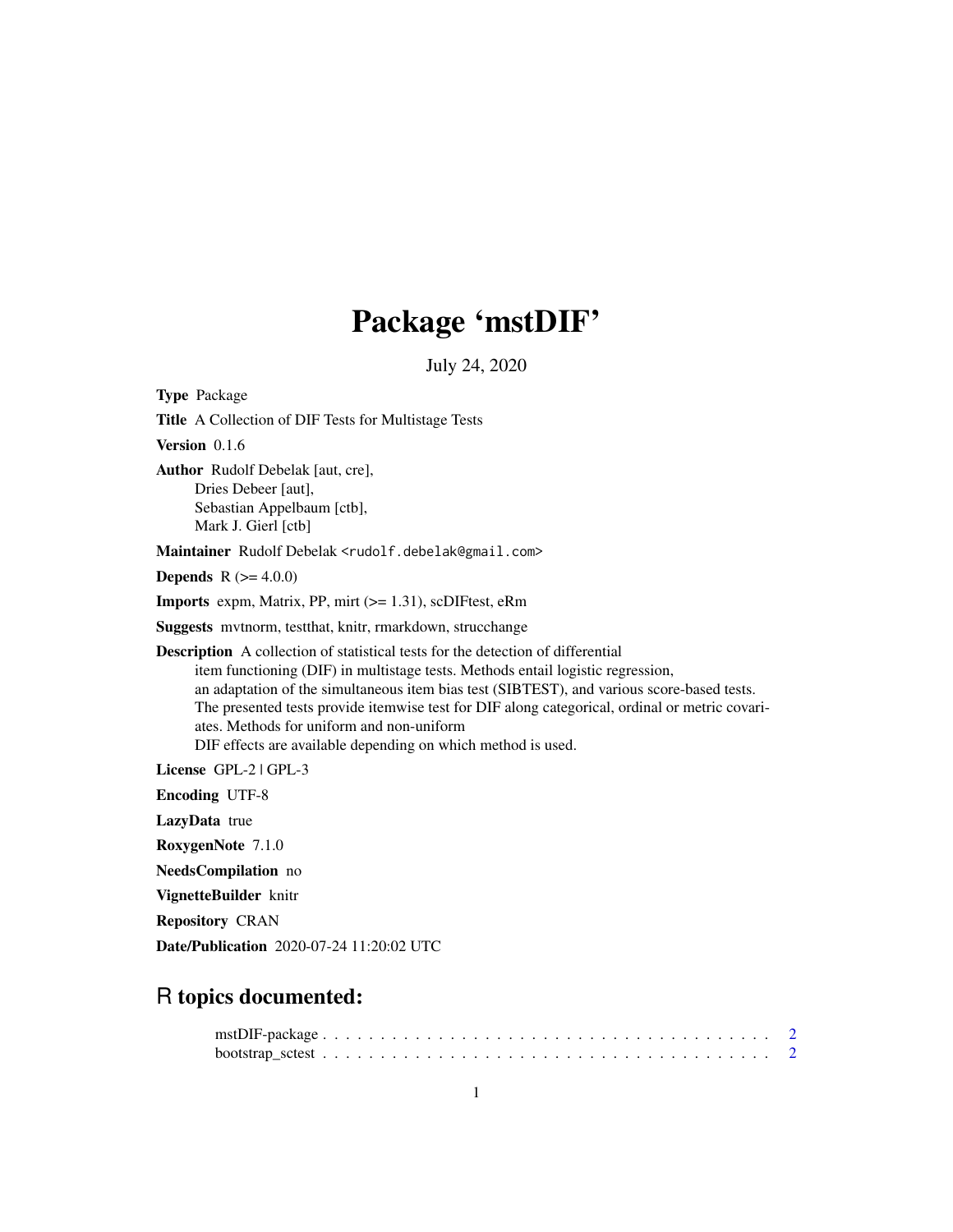## Package 'mstDIF'

July 24, 2020

Type Package Title A Collection of DIF Tests for Multistage Tests Version 0.1.6 Author Rudolf Debelak [aut, cre], Dries Debeer [aut], Sebastian Appelbaum [ctb], Mark J. Gierl [ctb] Maintainer Rudolf Debelak <rudolf.debelak@gmail.com> **Depends** R  $(>= 4.0.0)$ Imports expm, Matrix, PP, mirt (>= 1.31), scDIFtest, eRm Suggests mvtnorm, testthat, knitr, rmarkdown, strucchange Description A collection of statistical tests for the detection of differential item functioning (DIF) in multistage tests. Methods entail logistic regression, an adaptation of the simultaneous item bias test (SIBTEST), and various score-based tests. The presented tests provide itemwise test for DIF along categorical, ordinal or metric covariates. Methods for uniform and non-uniform DIF effects are available depending on which method is used. License GPL-2 | GPL-3 Encoding UTF-8 LazyData true RoxygenNote 7.1.0

NeedsCompilation no

VignetteBuilder knitr

Repository CRAN

Date/Publication 2020-07-24 11:20:02 UTC

## R topics documented: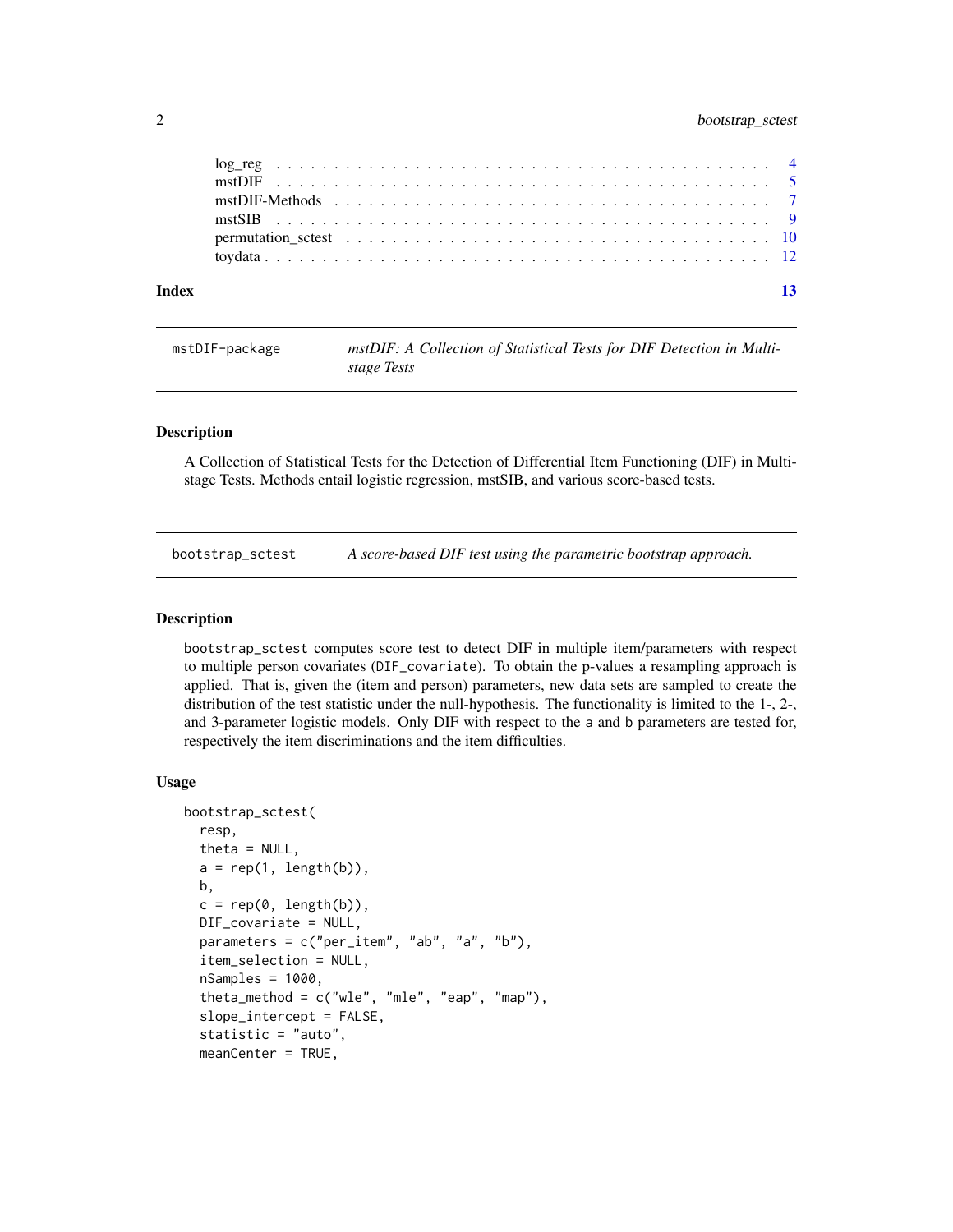#### <span id="page-1-0"></span>2 bootstrap\_sctest

| Index | 13 |
|-------|----|
|       |    |
|       |    |
|       |    |
|       |    |
|       |    |
|       |    |

mstDIF-package *mstDIF: A Collection of Statistical Tests for DIF Detection in Multistage Tests*

#### Description

A Collection of Statistical Tests for the Detection of Differential Item Functioning (DIF) in Multistage Tests. Methods entail logistic regression, mstSIB, and various score-based tests.

<span id="page-1-1"></span>bootstrap\_sctest *A score-based DIF test using the parametric bootstrap approach.*

#### Description

bootstrap\_sctest computes score test to detect DIF in multiple item/parameters with respect to multiple person covariates (DIF\_covariate). To obtain the p-values a resampling approach is applied. That is, given the (item and person) parameters, new data sets are sampled to create the distribution of the test statistic under the null-hypothesis. The functionality is limited to the 1-, 2-, and 3-parameter logistic models. Only DIF with respect to the a and b parameters are tested for, respectively the item discriminations and the item difficulties.

#### Usage

```
bootstrap_sctest(
  resp,
  theta = NULL,
  a = rep(1, length(b)),b,
  c = rep(0, length(b)),DIF_covariate = NULL,
 parameters = c("per_item", "ab", "a", "b"),
  item_selection = NULL,
  nSamples = 1000,
  theta_method = c("wle", "mle", "eap", "map"),
  slope_intercept = FALSE,
  statistic = "auto",
  meanCenter = TRUE,
```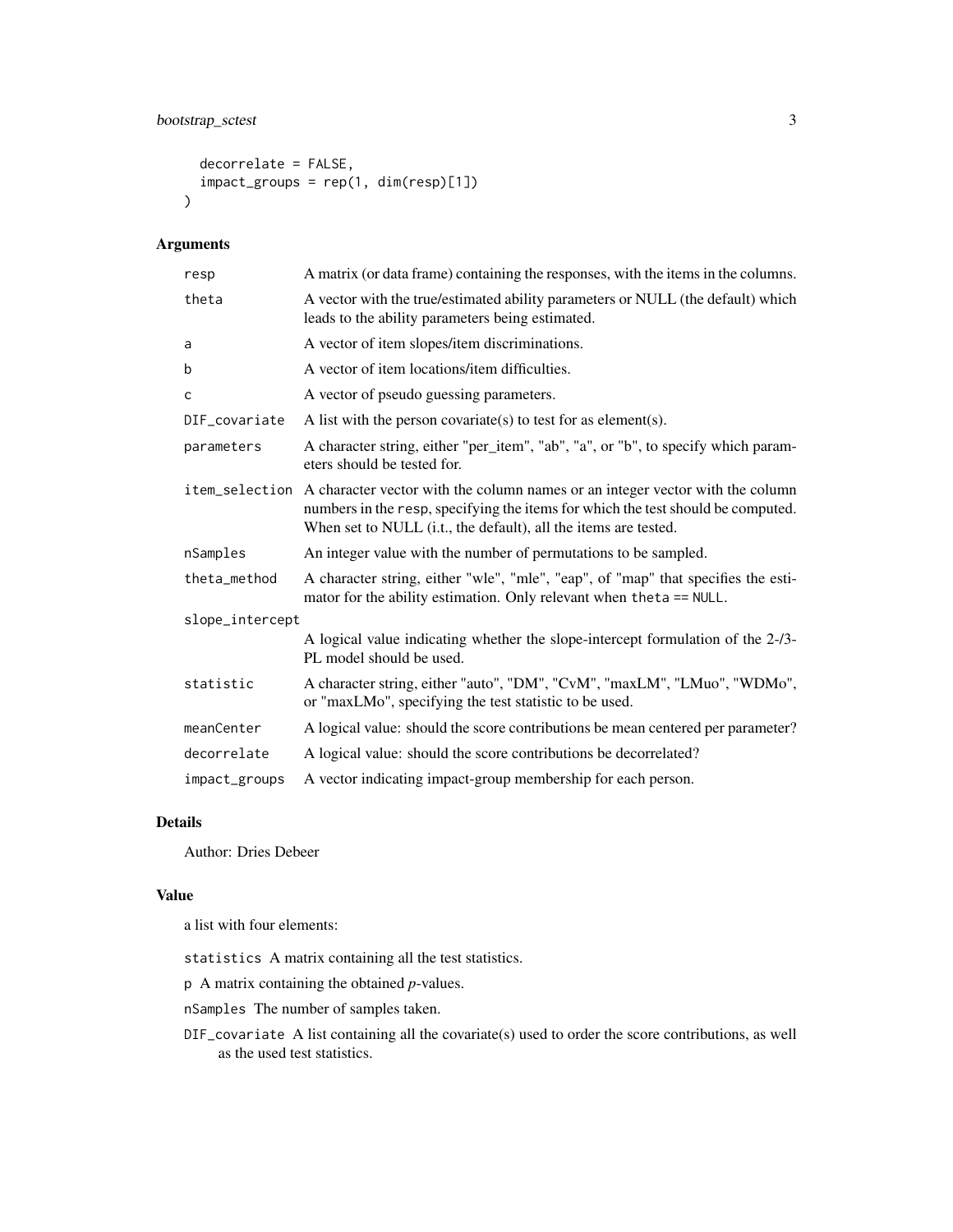#### bootstrap\_sctest 3

```
decorrelate = FALSE,
  impact_groups = rep(1, dim(resp)[1])
\mathcal{L}
```
#### Arguments

| resp            | A matrix (or data frame) containing the responses, with the items in the columns.                                                                                                                                                                   |
|-----------------|-----------------------------------------------------------------------------------------------------------------------------------------------------------------------------------------------------------------------------------------------------|
| theta           | A vector with the true/estimated ability parameters or NULL (the default) which<br>leads to the ability parameters being estimated.                                                                                                                 |
| a               | A vector of item slopes/item discriminations.                                                                                                                                                                                                       |
| b               | A vector of item locations/item difficulties.                                                                                                                                                                                                       |
| $\mathsf{C}$    | A vector of pseudo guessing parameters.                                                                                                                                                                                                             |
| DIF_covariate   | A list with the person covariate(s) to test for as element(s).                                                                                                                                                                                      |
| parameters      | A character string, either "per_item", "ab", "a", or "b", to specify which param-<br>eters should be tested for.                                                                                                                                    |
|                 | item_selection A character vector with the column names or an integer vector with the column<br>numbers in the resp, specifying the items for which the test should be computed.<br>When set to NULL (i.t., the default), all the items are tested. |
| nSamples        | An integer value with the number of permutations to be sampled.                                                                                                                                                                                     |
| theta_method    | A character string, either "wle", "mle", "eap", of "map" that specifies the esti-<br>mator for the ability estimation. Only relevant when the ta == NULL.                                                                                           |
| slope_intercept |                                                                                                                                                                                                                                                     |
|                 | A logical value indicating whether the slope-intercept formulation of the 2-/3-<br>PL model should be used.                                                                                                                                         |
| statistic       | A character string, either "auto", "DM", "CvM", "maxLM", "LMuo", "WDMo",<br>or "maxLMo", specifying the test statistic to be used.                                                                                                                  |
| meanCenter      | A logical value: should the score contributions be mean centered per parameter?                                                                                                                                                                     |
| decorrelate     | A logical value: should the score contributions be decorrelated?                                                                                                                                                                                    |
| impact_groups   | A vector indicating impact-group membership for each person.                                                                                                                                                                                        |

### Details

Author: Dries Debeer

#### Value

a list with four elements:

- statistics A matrix containing all the test statistics.
- p A matrix containing the obtained *p*-values.
- nSamples The number of samples taken.
- DIF\_covariate A list containing all the covariate(s) used to order the score contributions, as well as the used test statistics.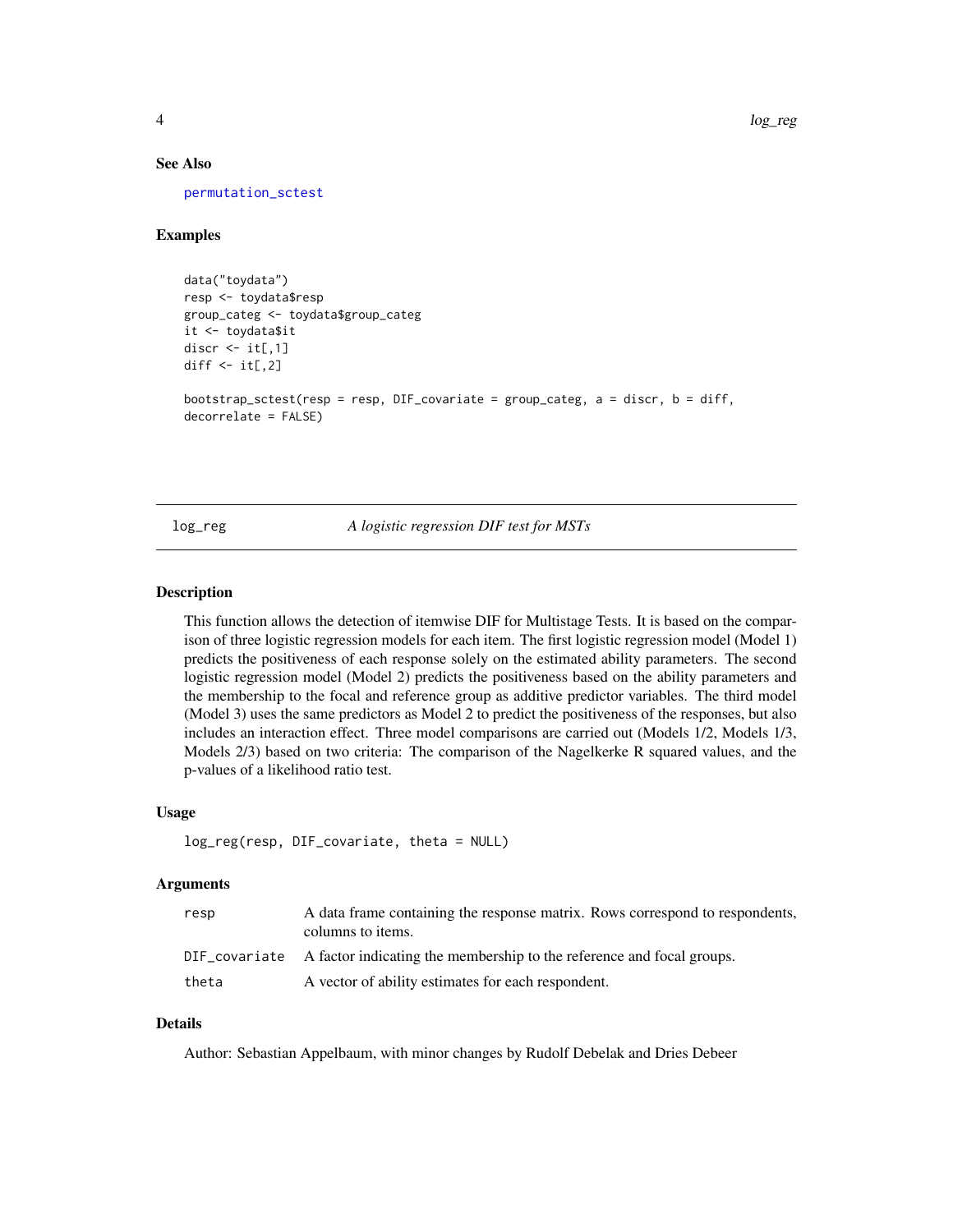#### <span id="page-3-0"></span>See Also

[permutation\\_sctest](#page-9-1)

#### Examples

```
data("toydata")
resp <- toydata$resp
group_categ <- toydata$group_categ
it <- toydata$it
discr \le it[,1]
diff \leq it[,2]
bootstrap_sctest(resp = resp, DIF_covariate = group_categ, a = discr, b = diff,
decorrelate = FALSE)
```
#### log\_reg *A logistic regression DIF test for MSTs*

#### Description

This function allows the detection of itemwise DIF for Multistage Tests. It is based on the comparison of three logistic regression models for each item. The first logistic regression model (Model 1) predicts the positiveness of each response solely on the estimated ability parameters. The second logistic regression model (Model 2) predicts the positiveness based on the ability parameters and the membership to the focal and reference group as additive predictor variables. The third model (Model 3) uses the same predictors as Model 2 to predict the positiveness of the responses, but also includes an interaction effect. Three model comparisons are carried out (Models 1/2, Models 1/3, Models 2/3) based on two criteria: The comparison of the Nagelkerke R squared values, and the p-values of a likelihood ratio test.

#### Usage

```
log_reg(resp, DIF_covariate, theta = NULL)
```
#### Arguments

| resp  | A data frame containing the response matrix. Rows correspond to respondents,<br>columns to items. |
|-------|---------------------------------------------------------------------------------------------------|
|       | DIF covariate A factor indicating the membership to the reference and focal groups.               |
| theta | A vector of ability estimates for each respondent.                                                |

#### Details

Author: Sebastian Appelbaum, with minor changes by Rudolf Debelak and Dries Debeer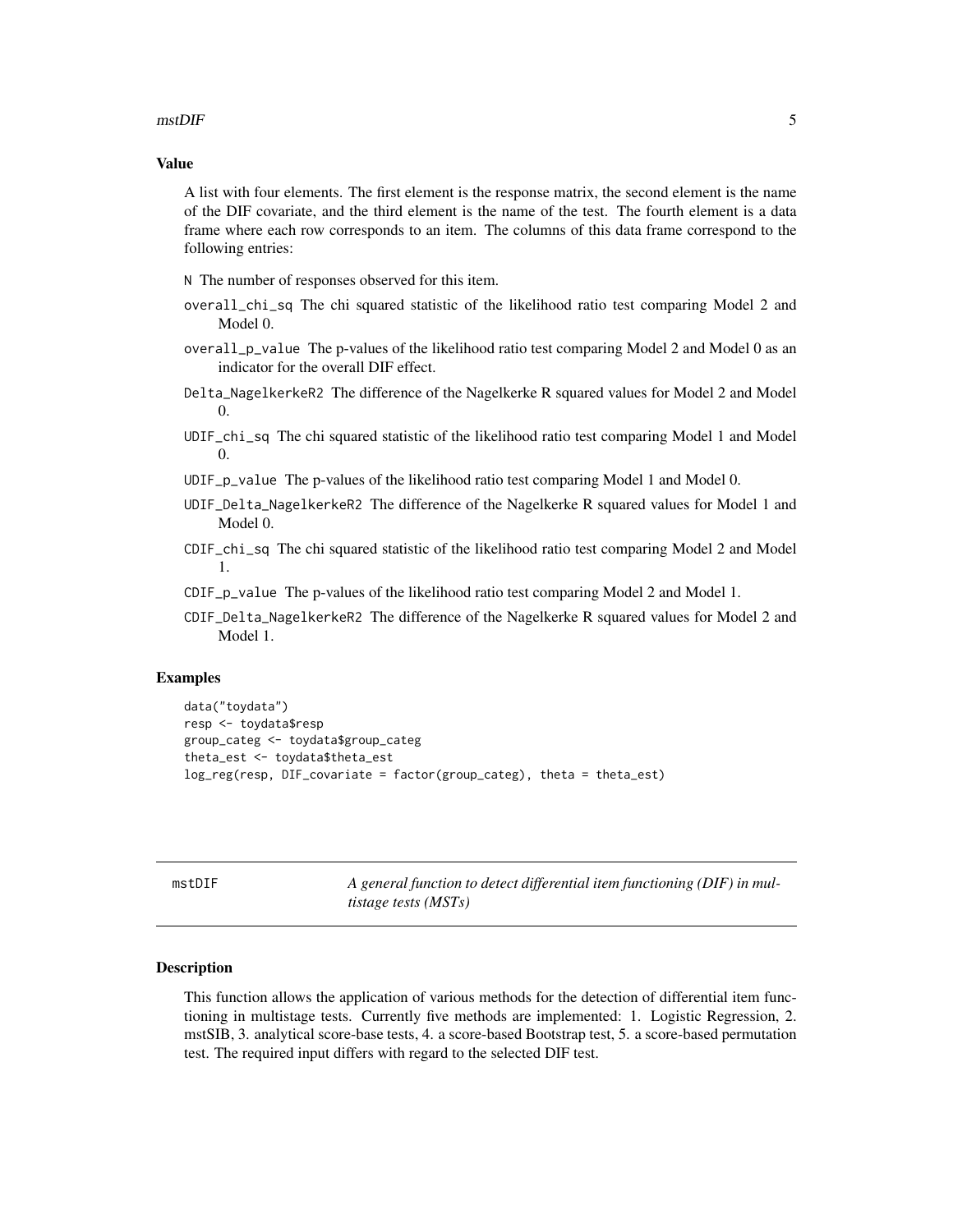#### <span id="page-4-0"></span> $\blacksquare$  5

#### Value

A list with four elements. The first element is the response matrix, the second element is the name of the DIF covariate, and the third element is the name of the test. The fourth element is a data frame where each row corresponds to an item. The columns of this data frame correspond to the following entries:

N The number of responses observed for this item.

- overall\_chi\_sq The chi squared statistic of the likelihood ratio test comparing Model 2 and Model 0.
- overall\_p\_value The p-values of the likelihood ratio test comparing Model 2 and Model 0 as an indicator for the overall DIF effect.
- Delta\_NagelkerkeR2 The difference of the Nagelkerke R squared values for Model 2 and Model  $\Omega$ .
- UDIF\_chi\_sq The chi squared statistic of the likelihood ratio test comparing Model 1 and Model 0.
- UDIF\_p\_value The p-values of the likelihood ratio test comparing Model 1 and Model 0.
- UDIF\_Delta\_NagelkerkeR2 The difference of the Nagelkerke R squared values for Model 1 and Model 0.
- CDIF\_chi\_sq The chi squared statistic of the likelihood ratio test comparing Model 2 and Model 1.
- CDIF\_p\_value The p-values of the likelihood ratio test comparing Model 2 and Model 1.
- CDIF\_Delta\_NagelkerkeR2 The difference of the Nagelkerke R squared values for Model 2 and Model 1.

#### Examples

```
data("toydata")
resp <- toydata$resp
group_categ <- toydata$group_categ
theta_est <- toydata$theta_est
log_reg(resp, DIF_covariate = factor(group_categ), theta = theta_est)
```
<span id="page-4-1"></span>

mstDIF *A general function to detect differential item functioning (DIF) in multistage tests (MSTs)*

#### Description

This function allows the application of various methods for the detection of differential item functioning in multistage tests. Currently five methods are implemented: 1. Logistic Regression, 2. mstSIB, 3. analytical score-base tests, 4. a score-based Bootstrap test, 5. a score-based permutation test. The required input differs with regard to the selected DIF test.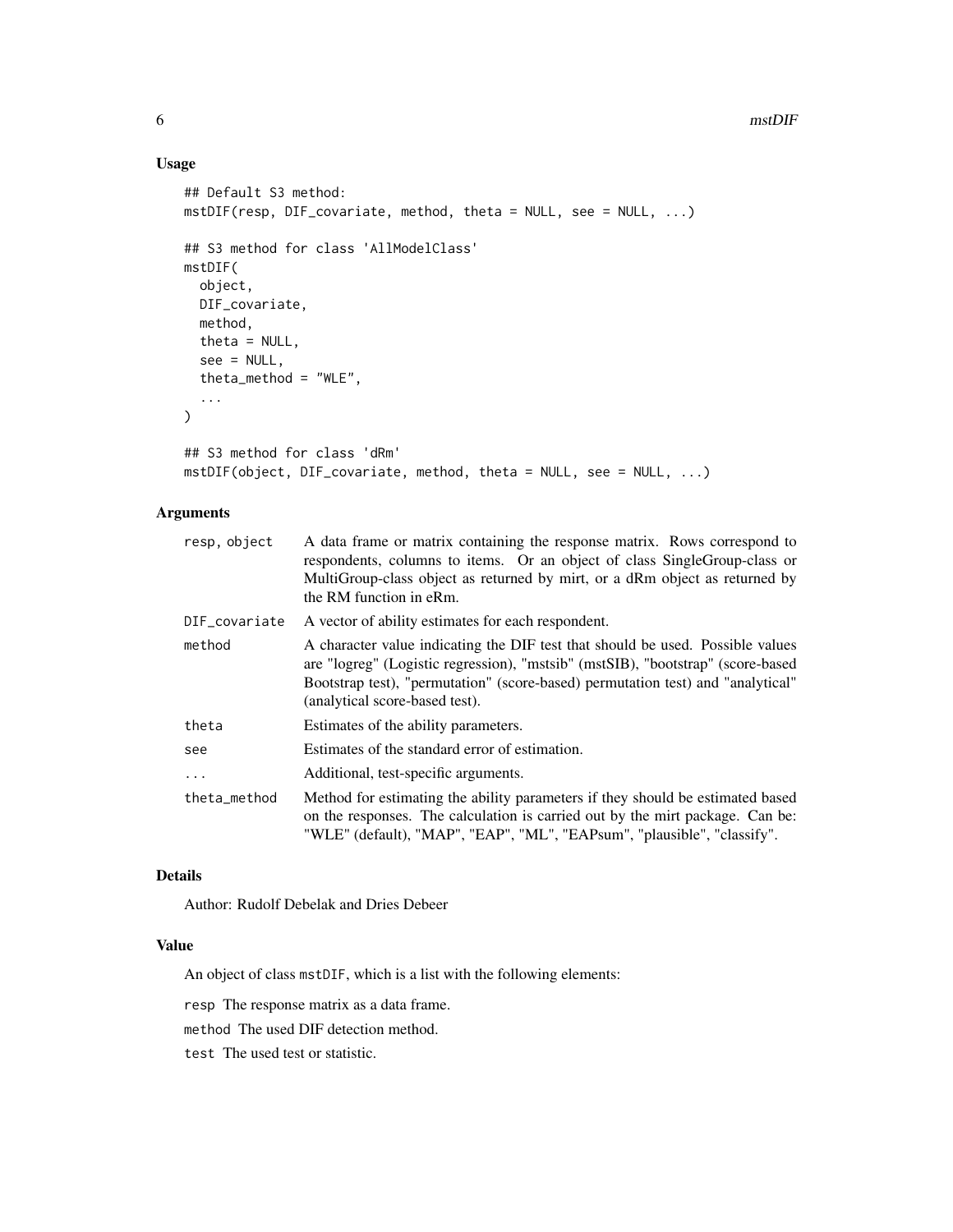#### 6 mstDIF

#### Usage

```
## Default S3 method:
mstDIF(resp, DIF_covariate, method, theta = NULL, see = NULL, ...)
## S3 method for class 'AllModelClass'
mstDIF(
 object,
 DIF_covariate,
 method,
 theta = NULL,
  see = NULL,
  theta_method = "WLE",
  ...
\mathcal{L}## S3 method for class 'dRm'
mstDIF(object, DIF_covariate, method, theta = NULL, see = NULL, ...)
```
#### Arguments

| resp, object  | A data frame or matrix containing the response matrix. Rows correspond to<br>respondents, columns to items. Or an object of class SingleGroup-class or<br>MultiGroup-class object as returned by mirt, or a dRm object as returned by<br>the RM function in eRm.                       |
|---------------|----------------------------------------------------------------------------------------------------------------------------------------------------------------------------------------------------------------------------------------------------------------------------------------|
| DIF_covariate | A vector of ability estimates for each respondent.                                                                                                                                                                                                                                     |
| method        | A character value indicating the DIF test that should be used. Possible values<br>are "logreg" (Logistic regression), "mstsib" (mstSIB), "bootstrap" (score-based<br>Bootstrap test), "permutation" (score-based) permutation test) and "analytical"<br>(analytical score-based test). |
| theta         | Estimates of the ability parameters.                                                                                                                                                                                                                                                   |
| see           | Estimates of the standard error of estimation.                                                                                                                                                                                                                                         |
| $\ddots$      | Additional, test-specific arguments.                                                                                                                                                                                                                                                   |
| theta_method  | Method for estimating the ability parameters if they should be estimated based<br>on the responses. The calculation is carried out by the mirt package. Can be:<br>"WLE" (default), "MAP", "EAP", "ML", "EAPsum", "plausible", "classify".                                             |

#### Details

Author: Rudolf Debelak and Dries Debeer

#### Value

An object of class mstDIF, which is a list with the following elements:

resp The response matrix as a data frame.

method The used DIF detection method.

test The used test or statistic.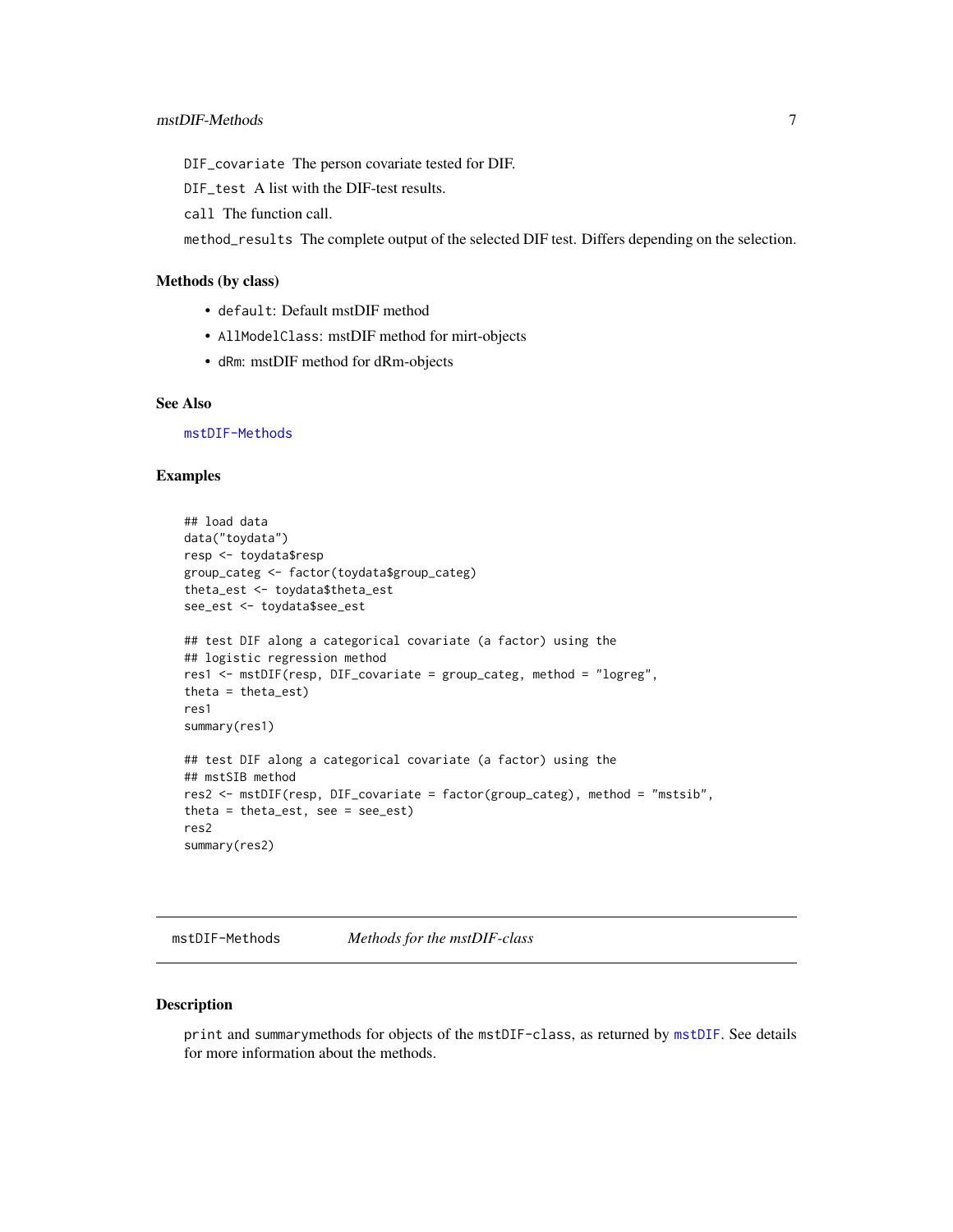<span id="page-6-0"></span>DIF\_covariate The person covariate tested for DIF.

DIF\_test A list with the DIF-test results.

call The function call.

method\_results The complete output of the selected DIF test. Differs depending on the selection.

#### Methods (by class)

- default: Default mstDIF method
- AllModelClass: mstDIF method for mirt-objects
- dRm: mstDIF method for dRm-objects

#### See Also

[mstDIF-Methods](#page-6-1)

#### Examples

```
## load data
data("toydata")
resp <- toydata$resp
group_categ <- factor(toydata$group_categ)
theta_est <- toydata$theta_est
see_est <- toydata$see_est
## test DIF along a categorical covariate (a factor) using the
## logistic regression method
res1 <- mstDIF(resp, DIF_covariate = group_categ, method = "logreg",
theta = theta_est)
res1
summary(res1)
## test DIF along a categorical covariate (a factor) using the
## mstSIB method
res2 <- mstDIF(resp, DIF_covariate = factor(group_categ), method = "mstsib",
theta = theta_est, see = see_est)
res2
summary(res2)
```
<span id="page-6-1"></span>mstDIF-Methods *Methods for the mstDIF-class*

#### Description

print and summarymethods for objects of the mstDIF-class, as returned by [mstDIF](#page-4-1). See details for more information about the methods.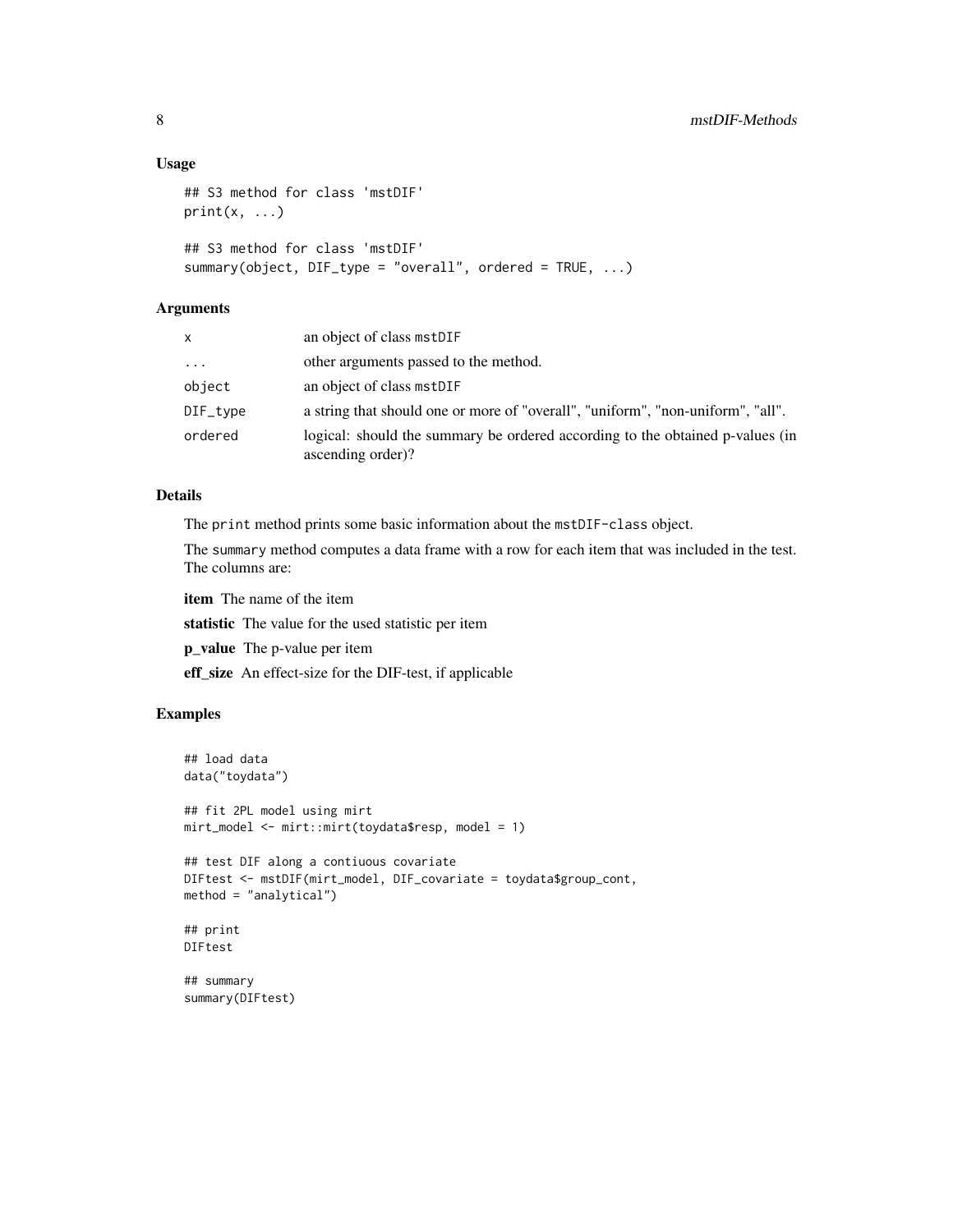#### Usage

```
## S3 method for class 'mstDIF'
print(x, \ldots)## S3 method for class 'mstDIF'
summary(object, DIF_type = "overall", ordered = TRUE, ...)
```
#### Arguments

| X        | an object of class mstDIF                                                                          |
|----------|----------------------------------------------------------------------------------------------------|
| $\cdots$ | other arguments passed to the method.                                                              |
| object   | an object of class mstDIF                                                                          |
| DIF_type | a string that should one or more of "overall", "uniform", "non-uniform", "all".                    |
| ordered  | logical: should the summary be ordered according to the obtained p-values (in<br>ascending order)? |

#### Details

The print method prints some basic information about the mstDIF-class object.

The summary method computes a data frame with a row for each item that was included in the test. The columns are:

item The name of the item

statistic The value for the used statistic per item

p\_value The p-value per item

eff\_size An effect-size for the DIF-test, if applicable

#### Examples

```
## load data
data("toydata")
## fit 2PL model using mirt
mirt_model <- mirt::mirt(toydata$resp, model = 1)
## test DIF along a contiuous covariate
DIFtest <- mstDIF(mirt_model, DIF_covariate = toydata$group_cont,
method = "analytical")
## print
DIFtest
## summary
summary(DIFtest)
```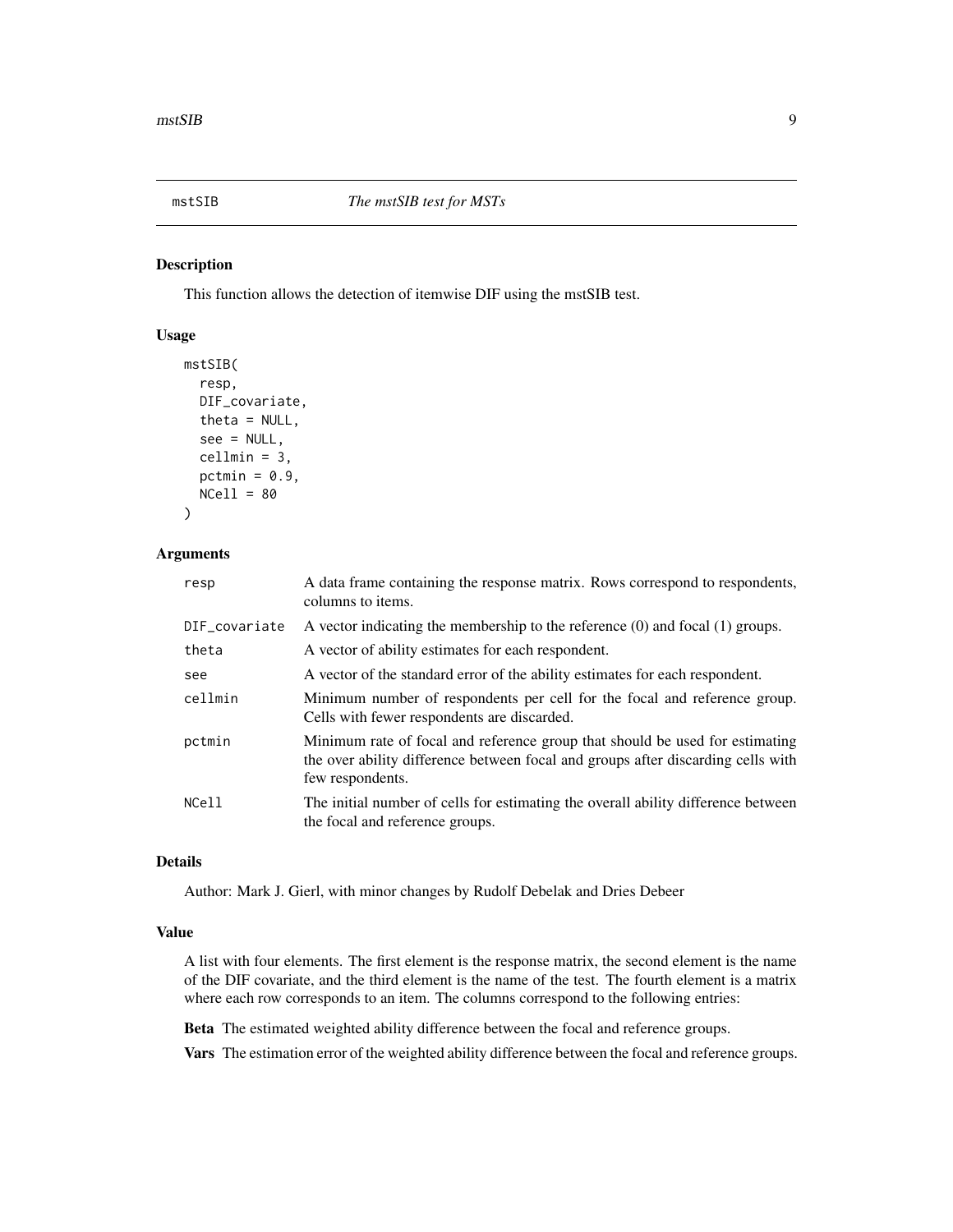<span id="page-8-0"></span>

#### Description

This function allows the detection of itemwise DIF using the mstSIB test.

#### Usage

```
mstSIB(
  resp,
  DIF_covariate,
  theta = NULL,
  see = NULL,
  cellmin = 3,
  pctmin = 0.9,
  NCell = 80)
```
#### Arguments

| resp          | A data frame containing the response matrix. Rows correspond to respondents,<br>columns to items.                                                                                    |
|---------------|--------------------------------------------------------------------------------------------------------------------------------------------------------------------------------------|
| DIF_covariate | A vector indicating the membership to the reference $(0)$ and focal $(1)$ groups.                                                                                                    |
| theta         | A vector of ability estimates for each respondent.                                                                                                                                   |
| see           | A vector of the standard error of the ability estimates for each respondent.                                                                                                         |
| cellmin       | Minimum number of respondents per cell for the focal and reference group.<br>Cells with fewer respondents are discarded.                                                             |
| pctmin        | Minimum rate of focal and reference group that should be used for estimating<br>the over ability difference between focal and groups after discarding cells with<br>few respondents. |
| NCell         | The initial number of cells for estimating the overall ability difference between<br>the focal and reference groups.                                                                 |

#### Details

Author: Mark J. Gierl, with minor changes by Rudolf Debelak and Dries Debeer

#### Value

A list with four elements. The first element is the response matrix, the second element is the name of the DIF covariate, and the third element is the name of the test. The fourth element is a matrix where each row corresponds to an item. The columns correspond to the following entries:

Beta The estimated weighted ability difference between the focal and reference groups.

Vars The estimation error of the weighted ability difference between the focal and reference groups.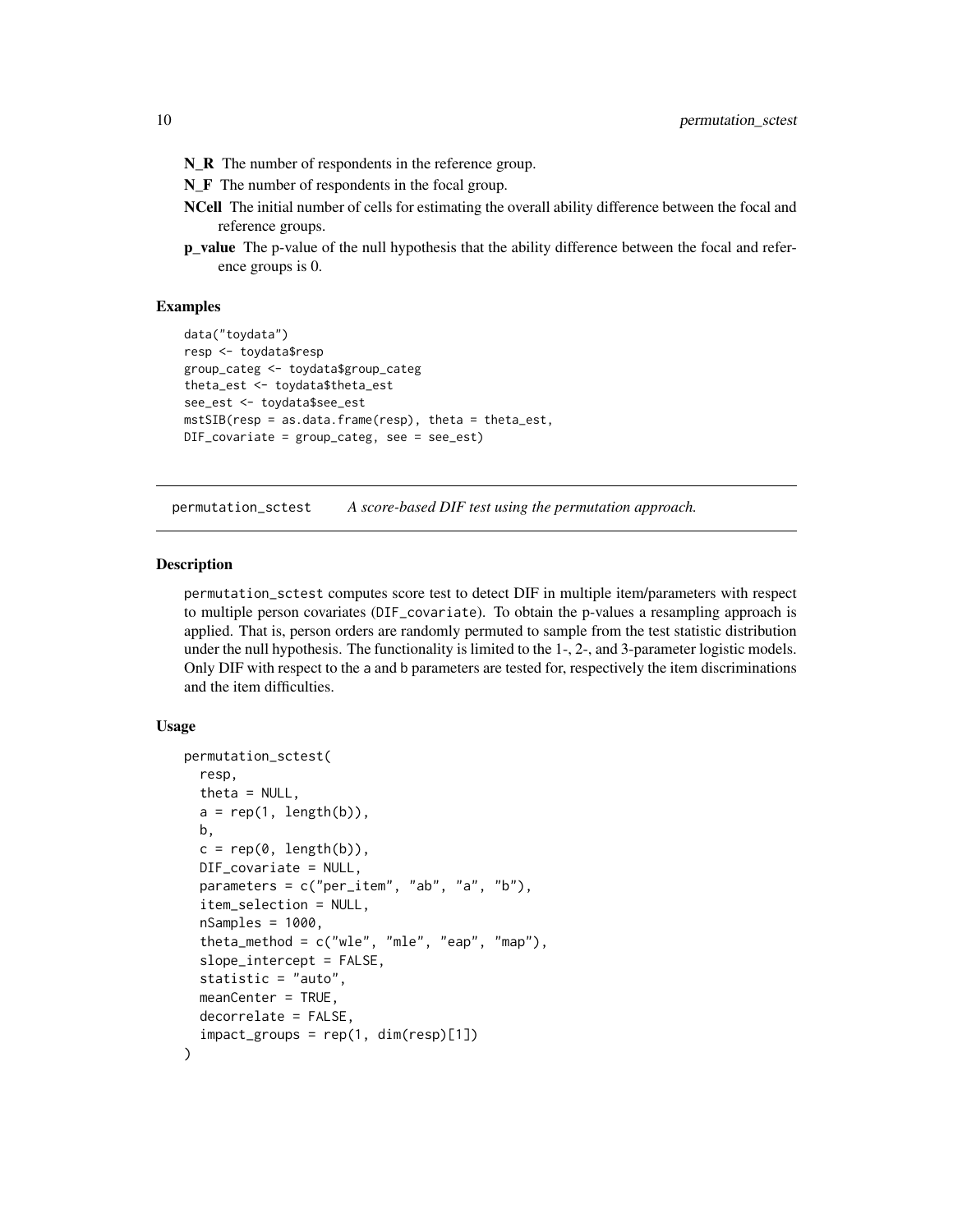- <span id="page-9-0"></span>N\_R The number of respondents in the reference group.
- N\_F The number of respondents in the focal group.
- NCell The initial number of cells for estimating the overall ability difference between the focal and reference groups.
- p\_value The p-value of the null hypothesis that the ability difference between the focal and reference groups is 0.

#### Examples

```
data("toydata")
resp <- toydata$resp
group_categ <- toydata$group_categ
theta_est <- toydata$theta_est
see_est <- toydata$see_est
mstSIB(resp = as.data.frame(resp), theta = theta_est,
DIF_covariate = group_categ, see = see_est)
```
<span id="page-9-1"></span>permutation\_sctest *A score-based DIF test using the permutation approach.*

#### Description

permutation\_sctest computes score test to detect DIF in multiple item/parameters with respect to multiple person covariates (DIF\_covariate). To obtain the p-values a resampling approach is applied. That is, person orders are randomly permuted to sample from the test statistic distribution under the null hypothesis. The functionality is limited to the 1-, 2-, and 3-parameter logistic models. Only DIF with respect to the a and b parameters are tested for, respectively the item discriminations and the item difficulties.

#### Usage

```
permutation_sctest(
  resp,
  theta = NULL,
  a = rep(1, length(b)),b,
  c = rep(0, length(b)),DIF_covariate = NULL,
  parameters = c("per_item", "ab", "a", "b"),
  item_selection = NULL,
  nSamples = 1000,
  theta_method = c("wle", "mle", "eap", "map"),
  slope_intercept = FALSE,
  statistic = "auto",
  meanCenter = TRUE,
  decorrelate = FALSE,
  impact_groups = rep(1, dim(resp)[1])
)
```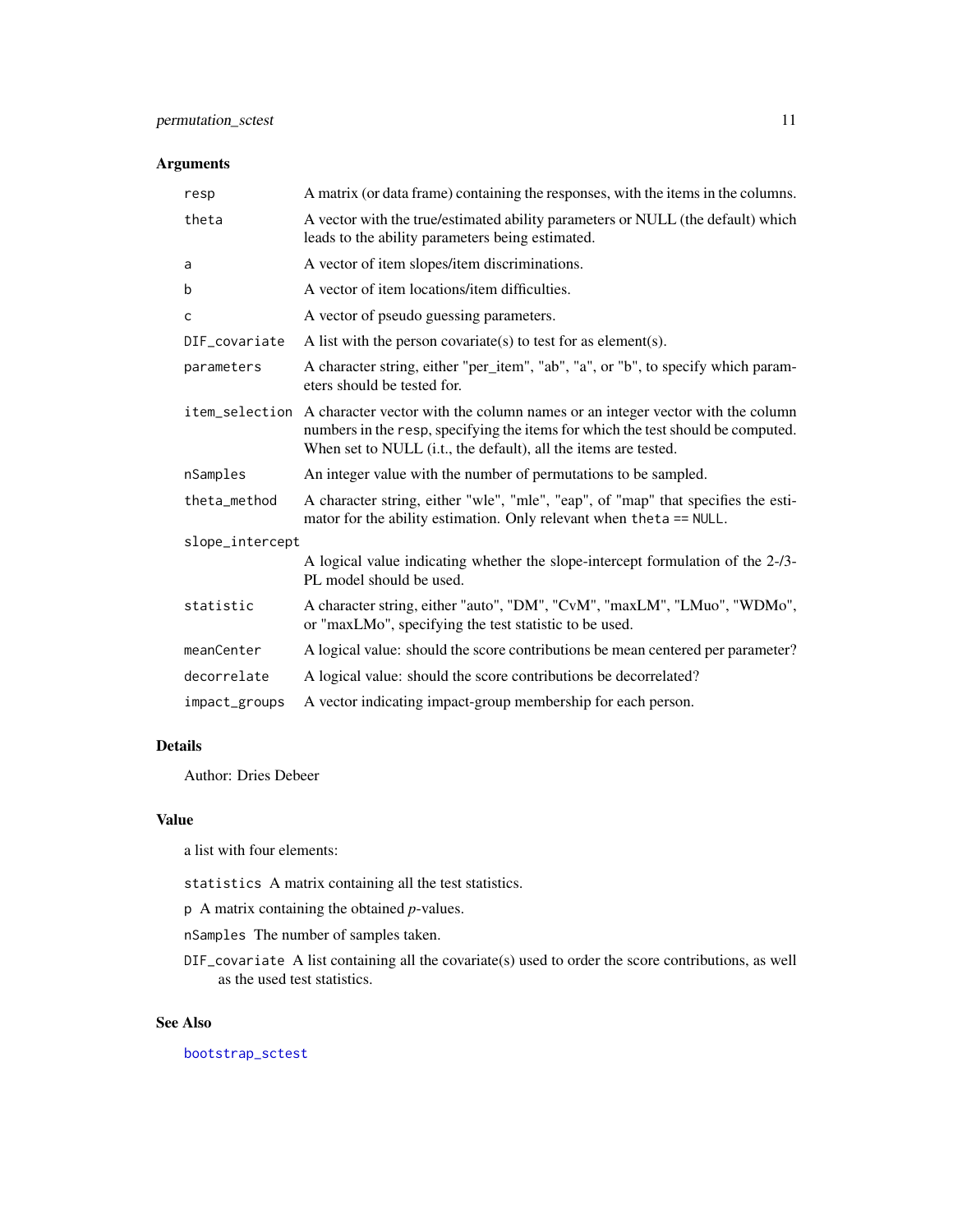#### <span id="page-10-0"></span>Arguments

| resp            | A matrix (or data frame) containing the responses, with the items in the columns.                                                                                                                                                                   |
|-----------------|-----------------------------------------------------------------------------------------------------------------------------------------------------------------------------------------------------------------------------------------------------|
| theta           | A vector with the true/estimated ability parameters or NULL (the default) which<br>leads to the ability parameters being estimated.                                                                                                                 |
| a               | A vector of item slopes/item discriminations.                                                                                                                                                                                                       |
| b               | A vector of item locations/item difficulties.                                                                                                                                                                                                       |
| C               | A vector of pseudo guessing parameters.                                                                                                                                                                                                             |
| DIF_covariate   | A list with the person covariate(s) to test for as element(s).                                                                                                                                                                                      |
| parameters      | A character string, either "per_item", "ab", "a", or "b", to specify which param-<br>eters should be tested for.                                                                                                                                    |
|                 | item_selection A character vector with the column names or an integer vector with the column<br>numbers in the resp, specifying the items for which the test should be computed.<br>When set to NULL (i.t., the default), all the items are tested. |
| nSamples        | An integer value with the number of permutations to be sampled.                                                                                                                                                                                     |
| theta method    | A character string, either "wle", "mle", "eap", of "map" that specifies the esti-<br>mator for the ability estimation. Only relevant when the ta == NULL.                                                                                           |
| slope_intercept |                                                                                                                                                                                                                                                     |
|                 | A logical value indicating whether the slope-intercept formulation of the 2-/3-<br>PL model should be used.                                                                                                                                         |
| statistic       | A character string, either "auto", "DM", "CvM", "maxLM", "LMuo", "WDMo",<br>or "maxLMo", specifying the test statistic to be used.                                                                                                                  |
| meanCenter      | A logical value: should the score contributions be mean centered per parameter?                                                                                                                                                                     |
| decorrelate     | A logical value: should the score contributions be decorrelated?                                                                                                                                                                                    |
| impact_groups   | A vector indicating impact-group membership for each person.                                                                                                                                                                                        |

### Details

Author: Dries Debeer

#### Value

a list with four elements:

statistics A matrix containing all the test statistics.

p A matrix containing the obtained *p*-values.

nSamples The number of samples taken.

DIF\_covariate A list containing all the covariate(s) used to order the score contributions, as well as the used test statistics.

#### See Also

[bootstrap\\_sctest](#page-1-1)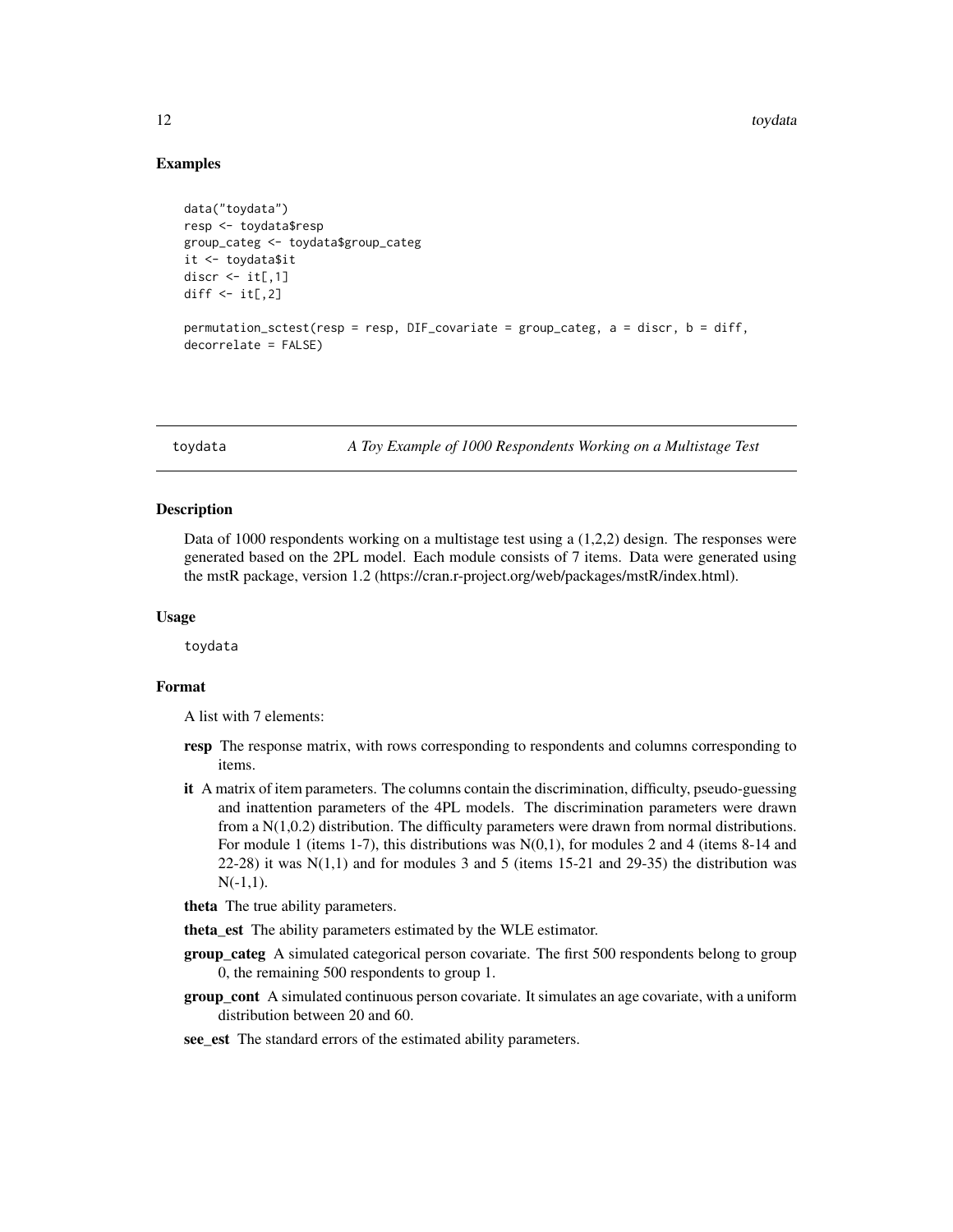#### Examples

```
data("toydata")
resp <- toydata$resp
group_categ <- toydata$group_categ
it <- toydata$it
discr <- it[,1]
diff \leftarrow it[, 2]permutation_sctest(resp = resp, DIF_covariate = group_categ, a = discr, b = diff,
decorrelate = FALSE)
```
toydata *A Toy Example of 1000 Respondents Working on a Multistage Test*

#### Description

Data of 1000 respondents working on a multistage test using a (1,2,2) design. The responses were generated based on the 2PL model. Each module consists of 7 items. Data were generated using the mstR package, version 1.2 (https://cran.r-project.org/web/packages/mstR/index.html).

#### Usage

toydata

#### Format

A list with 7 elements:

- resp The response matrix, with rows corresponding to respondents and columns corresponding to items.
- it A matrix of item parameters. The columns contain the discrimination, difficulty, pseudo-guessing and inattention parameters of the 4PL models. The discrimination parameters were drawn from a N(1,0.2) distribution. The difficulty parameters were drawn from normal distributions. For module 1 (items 1-7), this distributions was  $N(0,1)$ , for modules 2 and 4 (items 8-14 and 22-28) it was  $N(1,1)$  and for modules 3 and 5 (items 15-21 and 29-35) the distribution was  $N(-1,1)$ .
- theta The true ability parameters.
- theta\_est The ability parameters estimated by the WLE estimator.
- group\_categ A simulated categorical person covariate. The first 500 respondents belong to group 0, the remaining 500 respondents to group 1.
- **group** cont A simulated continuous person covariate. It simulates an age covariate, with a uniform distribution between 20 and 60.
- see est The standard errors of the estimated ability parameters.

<span id="page-11-0"></span>